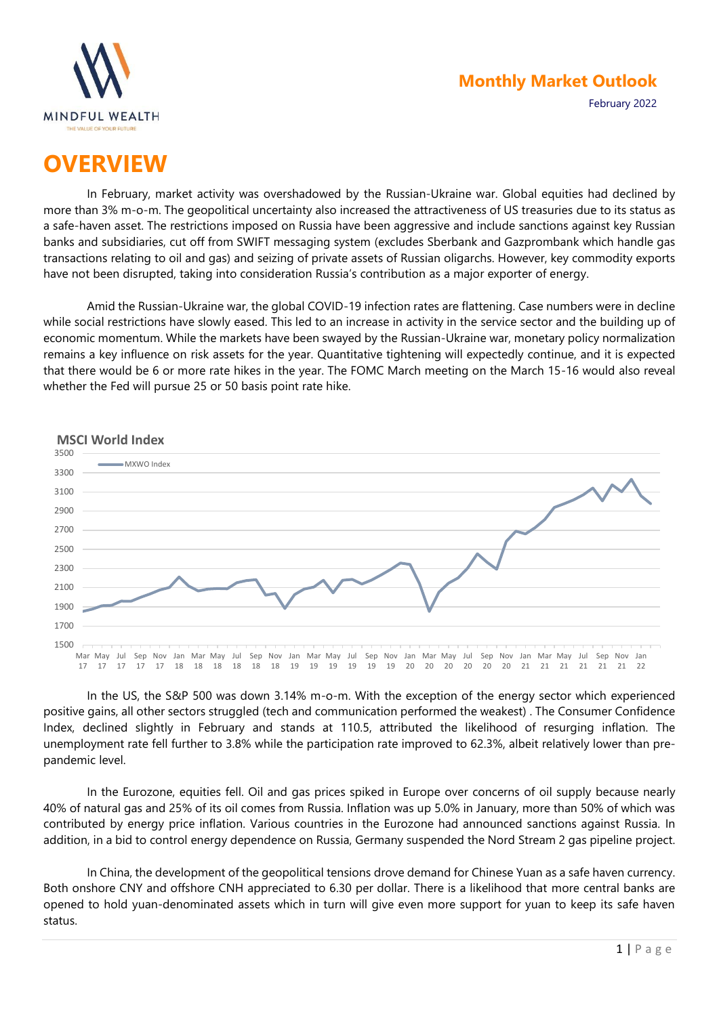

February 2022

# **OVERVIEW**

In February, market activity was overshadowed by the Russian-Ukraine war. Global equities had declined by more than 3% m-o-m. The geopolitical uncertainty also increased the attractiveness of US treasuries due to its status as a safe-haven asset. The restrictions imposed on Russia have been aggressive and include sanctions against key Russian banks and subsidiaries, cut off from SWIFT messaging system (excludes Sberbank and Gazprombank which handle gas transactions relating to oil and gas) and seizing of private assets of Russian oligarchs. However, key commodity exports have not been disrupted, taking into consideration Russia's contribution as a major exporter of energy.

Amid the Russian-Ukraine war, the global COVID-19 infection rates are flattening. Case numbers were in decline while social restrictions have slowly eased. This led to an increase in activity in the service sector and the building up of economic momentum. While the markets have been swayed by the Russian-Ukraine war, monetary policy normalization remains a key influence on risk assets for the year. Quantitative tightening will expectedly continue, and it is expected that there would be 6 or more rate hikes in the year. The FOMC March meeting on the March 15-16 would also reveal whether the Fed will pursue 25 or 50 basis point rate hike.



In the US, the S&P 500 was down 3.14% m-o-m. With the exception of the energy sector which experienced positive gains, all other sectors struggled (tech and communication performed the weakest) . The Consumer Confidence Index, declined slightly in February and stands at 110.5, attributed the likelihood of resurging inflation. The unemployment rate fell further to 3.8% while the participation rate improved to 62.3%, albeit relatively lower than prepandemic level.

In the Eurozone, equities fell. Oil and gas prices spiked in Europe over concerns of oil supply because nearly 40% of natural gas and 25% of its oil comes from Russia. Inflation was up 5.0% in January, more than 50% of which was contributed by energy price inflation. Various countries in the Eurozone had announced sanctions against Russia. In addition, in a bid to control energy dependence on Russia, Germany suspended the Nord Stream 2 gas pipeline project.

In China, the development of the geopolitical tensions drove demand for Chinese Yuan as a safe haven currency. Both onshore CNY and offshore CNH appreciated to 6.30 per dollar. There is a likelihood that more central banks are opened to hold yuan-denominated assets which in turn will give even more support for yuan to keep its safe haven status.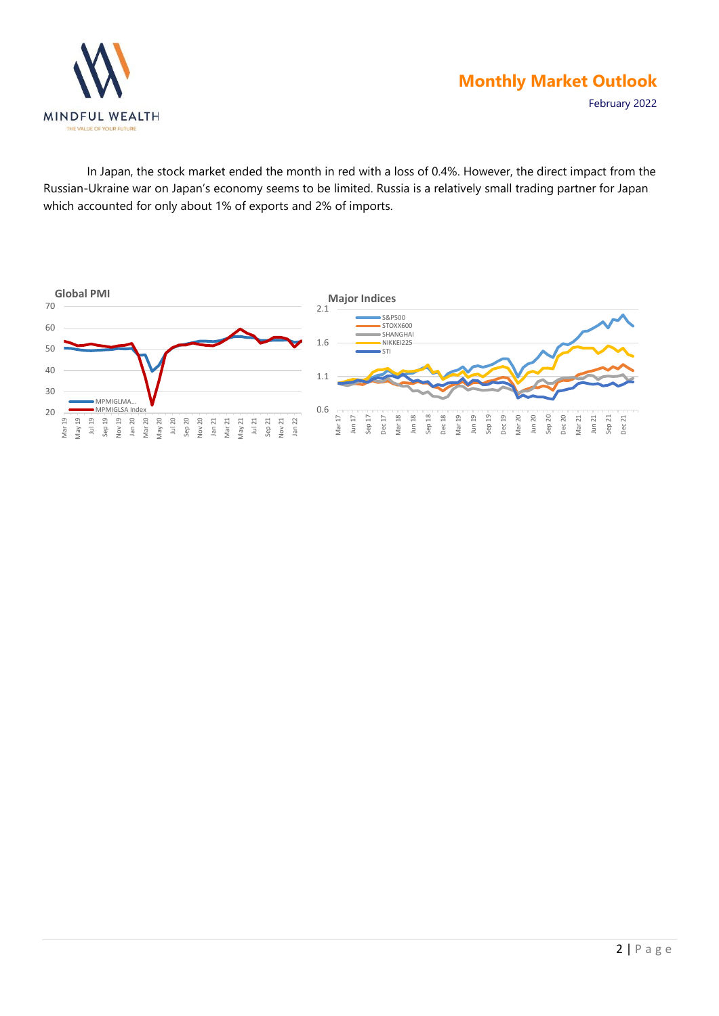

February 2022

In Japan, the stock market ended the month in red with a loss of 0.4%. However, the direct impact from the Russian-Ukraine war on Japan's economy seems to be limited. Russia is a relatively small trading partner for Japan which accounted for only about 1% of exports and 2% of imports.

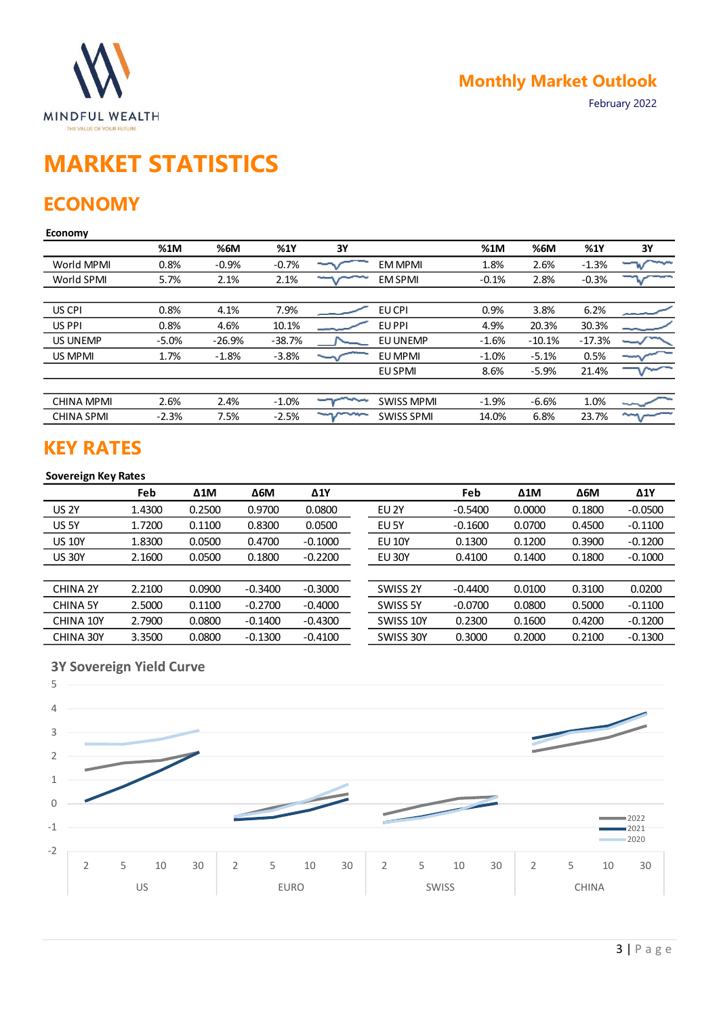

# **MARKET STATISTICS**

# **ECONOMY**

#### **Economy**

|                   | %1M     | %6M      | %1Y      | 3Υ |                   | %1M     | %6M      | %1Y      | 3Y                    |
|-------------------|---------|----------|----------|----|-------------------|---------|----------|----------|-----------------------|
| World MPMI        | 0.8%    | $-0.9%$  | $-0.7%$  |    | <b>EM MPMI</b>    | 1.8%    | 2.6%     | $-1.3%$  |                       |
| World SPMI        | 5.7%    | 2.1%     | 2.1%     |    | <b>EM SPMI</b>    | $-0.1%$ | 2.8%     | $-0.3%$  |                       |
|                   |         |          |          |    |                   |         |          |          |                       |
| US CPI            | 0.8%    | 4.1%     | 7.9%     |    | EU CPI            | 0.9%    | 3.8%     | 6.2%     |                       |
| US PPI            | 0.8%    | 4.6%     | 10.1%    |    | EU PPI            | 4.9%    | 20.3%    | 30.3%    |                       |
| <b>US UNEMP</b>   | $-5.0%$ | $-26.9%$ | $-38.7%$ |    | EU UNEMP          | $-1.6%$ | $-10.1%$ | $-17.3%$ |                       |
| US MPMI           | 1.7%    | $-1.8%$  | $-3.8%$  |    | EU MPMI           | $-1.0%$ | $-5.1%$  | 0.5%     |                       |
|                   |         |          |          |    | EU SPMI           | 8.6%    | $-5.9%$  | 21.4%    |                       |
|                   |         |          |          |    |                   |         |          |          |                       |
| <b>CHINA MPMI</b> | 2.6%    | 2.4%     | $-1.0%$  |    | <b>SWISS MPMI</b> | $-1.9%$ | $-6.6%$  | 1.0%     |                       |
| <b>CHINA SPMI</b> | $-2.3%$ | 7.5%     | $-2.5%$  |    | <b>SWISS SPMI</b> | 14.0%   | 6.8%     | 23.7%    | $\tilde{\phantom{a}}$ |
|                   |         |          |          |    |                   |         |          |          |                       |

# **KEY RATES**

#### **Sovereign Key Rates**

|                 | Feb    | $\Delta 1$ M | $\Delta$ 6M | $\Delta$ 1Y |                  | Feb       | $\Delta 1$ M | $\Delta$ 6M | $\Delta$ 1Y |
|-----------------|--------|--------------|-------------|-------------|------------------|-----------|--------------|-------------|-------------|
| <b>US 2Y</b>    | 1.4300 | 0.2500       | 0.9700      | 0.0800      | EU <sub>2Y</sub> | $-0.5400$ | 0.0000       | 0.1800      | $-0.0500$   |
| US 5Y           | 1.7200 | 0.1100       | 0.8300      | 0.0500      | EU <sub>5Y</sub> | $-0.1600$ | 0.0700       | 0.4500      | $-0.1100$   |
| <b>US 10Y</b>   | 1.8300 | 0.0500       | 0.4700      | $-0.1000$   | <b>EU 10Y</b>    | 0.1300    | 0.1200       | 0.3900      | $-0.1200$   |
| <b>US 30Y</b>   | 2.1600 | 0.0500       | 0.1800      | $-0.2200$   | <b>EU 30Y</b>    | 0.4100    | 0.1400       | 0.1800      | $-0.1000$   |
|                 |        |              |             |             |                  |           |              |             |             |
| <b>CHINA 2Y</b> | 2.2100 | 0.0900       | $-0.3400$   | $-0.3000$   | SWISS 2Y         | $-0.4400$ | 0.0100       | 0.3100      | 0.0200      |
| <b>CHINA 5Y</b> | 2.5000 | 0.1100       | $-0.2700$   | $-0.4000$   | SWISS 5Y         | $-0.0700$ | 0.0800       | 0.5000      | $-0.1100$   |
| CHINA 10Y       | 2.7900 | 0.0800       | $-0.1400$   | $-0.4300$   | SWISS 10Y        | 0.2300    | 0.1600       | 0.4200      | $-0.1200$   |
| CHINA 30Y       | 3.3500 | 0.0800       | $-0.1300$   | $-0.4100$   | SWISS 30Y        | 0.3000    | 0.2000       | 0.2100      | $-0.1300$   |

#### **3Y Sovereign Yield Curve**

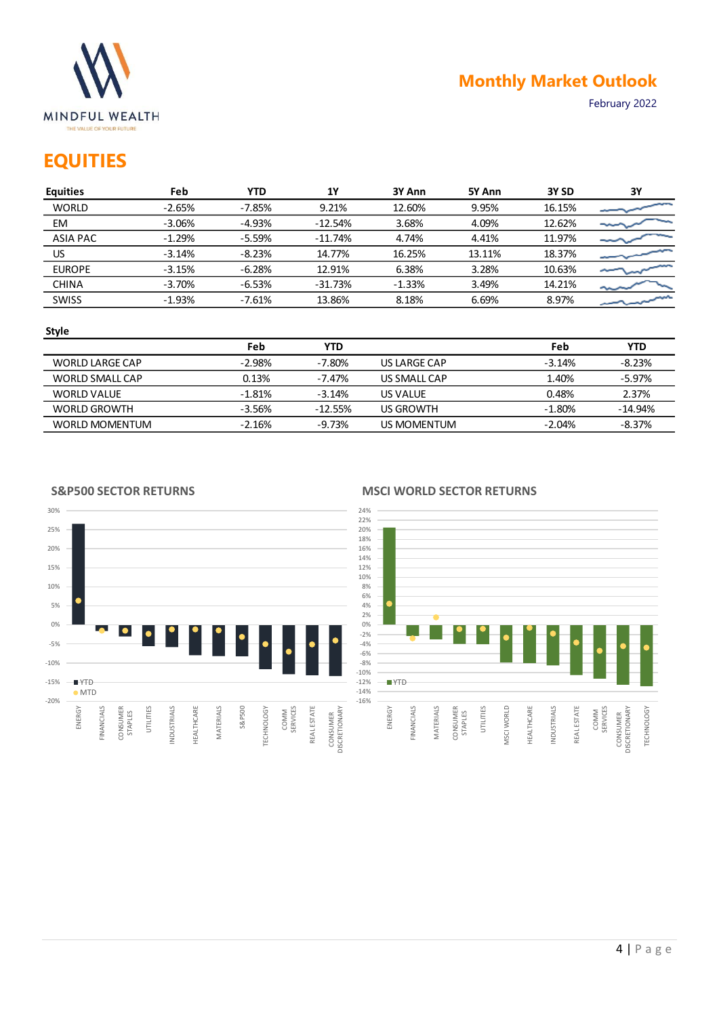

February 2022

# **EQUITIES**

| <b>Equities</b> | Feb      | <b>YTD</b> | 1Y        | 3Y Ann   | 5Y Ann | 3Y SD  | 3Y |
|-----------------|----------|------------|-----------|----------|--------|--------|----|
| <b>WORLD</b>    | $-2.65%$ | $-7.85%$   | 9.21%     | 12.60%   | 9.95%  | 16.15% |    |
| EM              | $-3.06%$ | $-4.93%$   | $-12.54%$ | 3.68%    | 4.09%  | 12.62% |    |
| <b>ASIA PAC</b> | $-1.29%$ | $-5.59%$   | $-11.74%$ | 4.74%    | 4.41%  | 11.97% |    |
| US              | $-3.14%$ | $-8.23%$   | 14.77%    | 16.25%   | 13.11% | 18.37% |    |
| <b>EUROPE</b>   | $-3.15%$ | $-6.28%$   | 12.91%    | 6.38%    | 3.28%  | 10.63% |    |
| <b>CHINA</b>    | $-3.70%$ | $-6.53%$   | $-31.73%$ | $-1.33%$ | 3.49%  | 14.21% |    |
| <b>SWISS</b>    | $-1.93%$ | $-7.61%$   | 13.86%    | 8.18%    | 6.69%  | 8.97%  |    |
|                 |          |            |           |          |        |        |    |

#### **Style**

-20% -15% -10% -5% 0% 5% 10% 15% 20% 25% 30%

|                       | Feb       | YTD       |              | Feb      | YTD       |
|-----------------------|-----------|-----------|--------------|----------|-----------|
| WORLD LARGE CAP       | $-2.98\%$ | -7.80%    | US LARGE CAP | $-3.14%$ | $-8.23%$  |
| WORLD SMALL CAP       | 0.13%     | -7.47%    | US SMALL CAP | 1.40%    | $-5.97\%$ |
| WORLD VALUE           | $-1.81%$  | $-3.14%$  | US VALUE     | 0.48%    | 2.37%     |
| WORLD GROWTH          | -3.56%    | $-12.55%$ | US GROWTH    | $-1.80%$ | $-14.94%$ |
| <b>WORLD MOMENTUM</b> | $-2.16%$  | -9.73%    | US MOMENTUM  | $-2.04%$ | -8.37%    |

#### **S&P500 SECTOR RETURNS**



#### **MSCI WORLD SECTOR RETURNS**

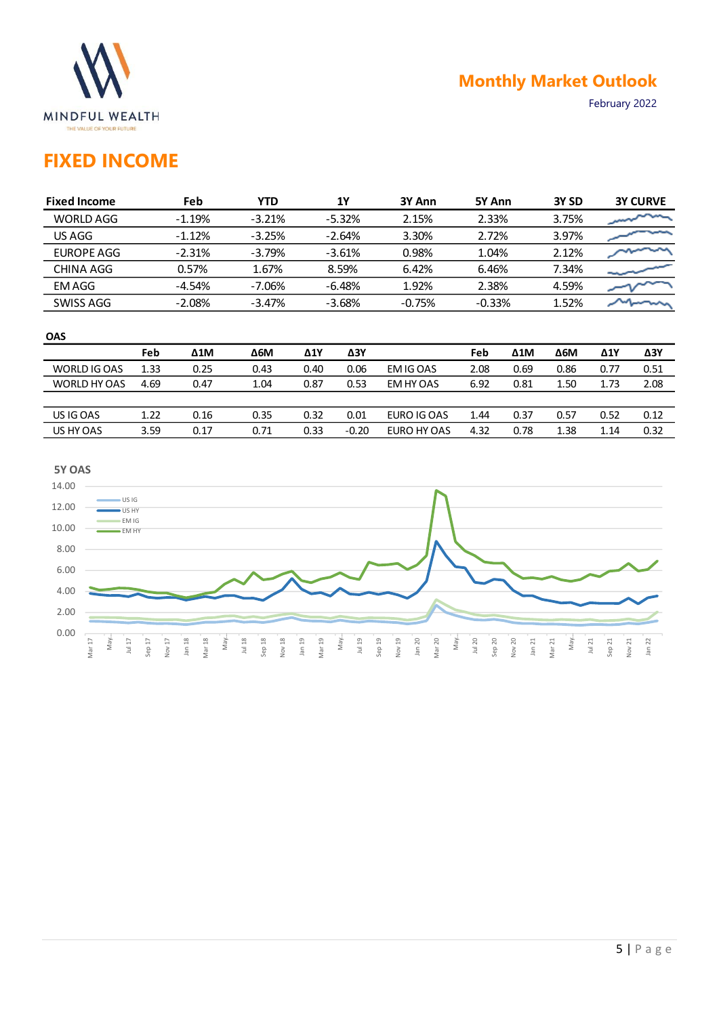

February 2022

# **FIXED INCOME**

| <b>Fixed Income</b> | Feb      | YTD      | 1Υ       | 3Y Ann   | 5Y Ann   | 3Y <sub>SD</sub> | <b>3Y CURVE</b> |
|---------------------|----------|----------|----------|----------|----------|------------------|-----------------|
| WORLD AGG           | $-1.19%$ | $-3.21%$ | $-5.32%$ | 2.15%    | 2.33%    | 3.75%            |                 |
| US AGG              | $-1.12%$ | $-3.25%$ | $-2.64%$ | 3.30%    | 2.72%    | 3.97%            |                 |
| EUROPE AGG          | $-2.31%$ | $-3.79%$ | $-3.61%$ | 0.98%    | 1.04%    | 2.12%            |                 |
| CHINA AGG           | 0.57%    | 1.67%    | 8.59%    | 6.42%    | 6.46%    | 7.34%            |                 |
| EM AGG              | $-4.54%$ | $-7.06%$ | $-6.48%$ | 1.92%    | 2.38%    | 4.59%            |                 |
| SWISS AGG           | $-2.08%$ | $-3.47%$ | $-3.68%$ | $-0.75%$ | $-0.33%$ | 1.52%            |                 |
|                     |          |          |          |          |          |                  |                 |

#### **OAS**

|              | Feb  | $\Delta 1$ M | $\Delta$ 6M | Δ1Y  | ΔЗΥ     |             | Feb  | Δ1M  | <b>Δ6Μ</b> | Δ1Y  | ΔЗΥ  |
|--------------|------|--------------|-------------|------|---------|-------------|------|------|------------|------|------|
| WORLD IG OAS | 1.33 | 0.25         | 0.43        | 0.40 | 0.06    | EM IG OAS   | 2.08 | 0.69 | 0.86       | 0.77 | 0.51 |
| WORLD HY OAS | 4.69 | 0.47         | 1.04        | 0.87 | 0.53    | EM HY OAS   | 6.92 | 0.81 | 1.50       | 1.73 | 2.08 |
|              |      |              |             |      |         |             |      |      |            |      |      |
| US IG OAS    | 1.22 | 0.16         | 0.35        | 0.32 | 0.01    | EURO IG OAS | 1.44 | 0.37 | 0.57       | 0.52 | 0.12 |
| US HY OAS    | 3.59 | 0.17         | 0.71        | 0.33 | $-0.20$ | EURO HY OAS | 4.32 | 0.78 | 1.38       | 1.14 | 0.32 |

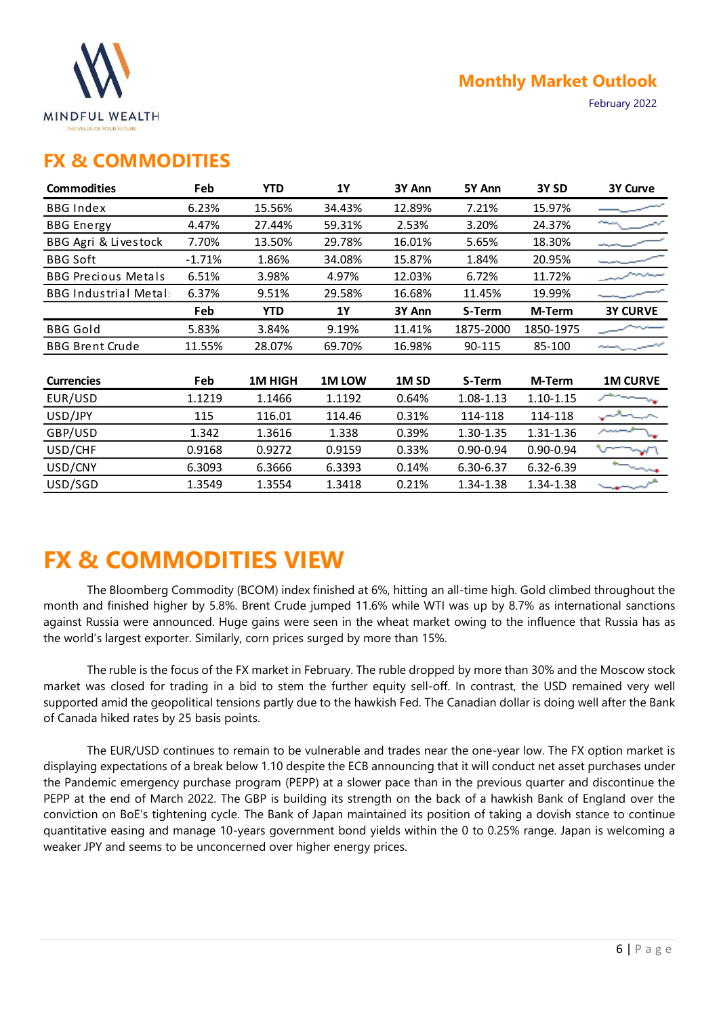

February 2022

### **FX & COMMODITIES**

| <b>Commodities</b>          | Feb      | <b>YTD</b>    | 1Y           | 3Y Ann           | 5Y Ann        | 3Y <sub>SD</sub> | 3Y Curve        |
|-----------------------------|----------|---------------|--------------|------------------|---------------|------------------|-----------------|
| <b>BBG Index</b>            | 6.23%    | 15.56%        | 34.43%       | 12.89%           | 7.21%         | 15.97%           |                 |
| <b>BBG</b> Energy           | 4.47%    | 27.44%        | 59.31%       | 2.53%            | 3.20%         | 24.37%           |                 |
| BBG Agri & Livestock        | 7.70%    | 13.50%        | 29.78%       | 16.01%           | 5.65%         | 18.30%           |                 |
| <b>BBG Soft</b>             | $-1.71%$ | 1.86%         | 34.08%       | 15.87%           | 1.84%         | 20.95%           |                 |
| <b>BBG Precious Metals</b>  | 6.51%    | 3.98%         | 4.97%        | 12.03%           | 6.72%         | 11.72%           |                 |
| <b>BBG Industrial Metal</b> | 6.37%    | 9.51%         | 29.58%       | 16.68%           | 11.45%        | 19.99%           |                 |
|                             | Feb      | <b>YTD</b>    | 1Y           | 3Y Ann           | S-Term        | M-Term           | <b>3Y CURVE</b> |
| <b>BBG Gold</b>             | 5.83%    | 3.84%         | 9.19%        | 11.41%           | 1875-2000     | 1850-1975        |                 |
| <b>BBG Brent Crude</b>      | 11.55%   | 28.07%        | 69.70%       | 16.98%           | 90-115        | 85-100           |                 |
|                             |          |               |              |                  |               |                  |                 |
| <b>Currencies</b>           | Feb      | <b>1MHIGH</b> | <b>1MLOW</b> | 1M <sub>SD</sub> | S-Term        | M-Term           | <b>1M CURVE</b> |
| EUR/USD                     | 1.1219   | 1.1466        | 1.1192       | 0.64%            | 1.08-1.13     | 1.10-1.15        |                 |
| USD/JPY                     | 115      | 116.01        | 114.46       | 0.31%            | 114-118       | 114-118          |                 |
| GBP/USD                     | 1.342    | 1.3616        | 1.338        | 0.39%            | 1.30-1.35     | 1.31-1.36        |                 |
| USD/CHF                     | 0.9168   | 0.9272        | 0.9159       | 0.33%            | $0.90 - 0.94$ | $0.90 - 0.94$    | $\mathbf{v}$    |
| USD/CNY                     | 6.3093   | 6.3666        | 6.3393       | 0.14%            | 6.30-6.37     | 6.32-6.39        |                 |
| USD/SGD                     | 1.3549   | 1.3554        | 1.3418       | 0.21%            | 1.34-1.38     | 1.34-1.38        |                 |

# **FX & COMMODITIES VIEW**

The Bloomberg Commodity (BCOM) index finished at 6%, hitting an all-time high. Gold climbed throughout the month and finished higher by 5.8%. Brent Crude jumped 11.6% while WTI was up by 8.7% as international sanctions against Russia were announced. Huge gains were seen in the wheat market owing to the influence that Russia has as the world's largest exporter. Similarly, corn prices surged by more than 15%.

The ruble is the focus of the FX market in February. The ruble dropped by more than 30% and the Moscow stock market was closed for trading in a bid to stem the further equity sell-off. In contrast, the USD remained very well supported amid the geopolitical tensions partly due to the hawkish Fed. The Canadian dollar is doing well after the Bank of Canada hiked rates by 25 basis points.

The EUR/USD continues to remain to be vulnerable and trades near the one-year low. The FX option market is displaying expectations of a break below 1.10 despite the ECB announcing that it will conduct net asset purchases under the Pandemic emergency purchase program (PEPP) at a slower pace than in the previous quarter and discontinue the PEPP at the end of March 2022. The GBP is building its strength on the back of a hawkish Bank of England over the conviction on BoE's tightening cycle. The Bank of Japan maintained its position of taking a dovish stance to continue quantitative easing and manage 10-years government bond yields within the 0 to 0.25% range. Japan is welcoming a weaker JPY and seems to be unconcerned over higher energy prices.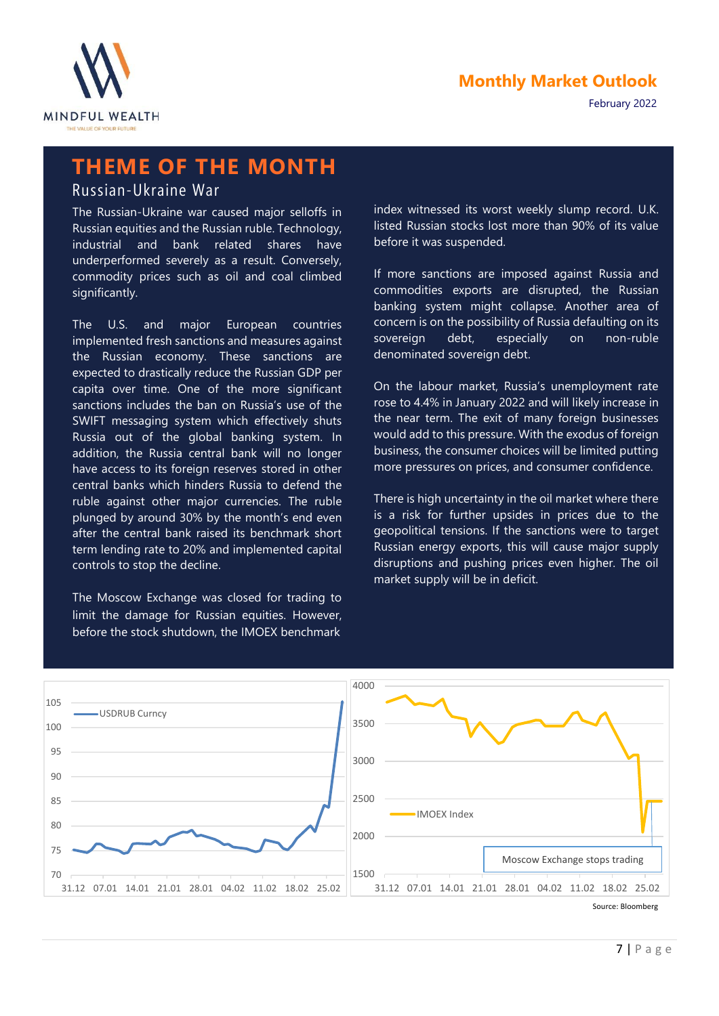

February 2022

# **THEME OF THE MONTH**

Russian-Ukraine War

The Russian-Ukraine war caused major selloffs in Russian equities and the Russian ruble. Technology, industrial and bank related shares have underperformed severely as a result. Conversely, commodity prices such as oil and coal climbed significantly.

The U.S. and major European countries implemented fresh sanctions and measures against the Russian economy. These sanctions are expected to drastically reduce the Russian GDP per capita over time. One of the more significant sanctions includes the ban on Russia's use of the SWIFT messaging system which effectively shuts Russia out of the global banking system. In addition, the Russia central bank will no longer have access to its foreign reserves stored in other central banks which hinders Russia to defend the ruble against other major currencies. The ruble plunged by around 30% by the month's end even after the central bank raised its benchmark short term lending rate to 20% and implemented capital controls to stop the decline.

The Moscow Exchange was closed for trading to limit the damage for Russian equities. However, before the stock shutdown, the IMOEX benchmark

index witnessed its worst weekly slump record. U.K. listed Russian stocks lost more than 90% of its value before it was suspended.

If more sanctions are imposed against Russia and commodities exports are disrupted, the Russian banking system might collapse. Another area of concern is on the possibility of Russia defaulting on its sovereign debt, especially on non-ruble denominated sovereign debt.

On the labour market, Russia's unemployment rate rose to 4.4% in January 2022 and will likely increase in the near term. The exit of many foreign businesses would add to this pressure. With the exodus of foreign business, the consumer choices will be limited putting more pressures on prices, and consumer confidence.

There is high uncertainty in the oil market where there is a risk for further upsides in prices due to the geopolitical tensions. If the sanctions were to target Russian energy exports, this will cause major supply disruptions and pushing prices even higher. The oil market supply will be in deficit.

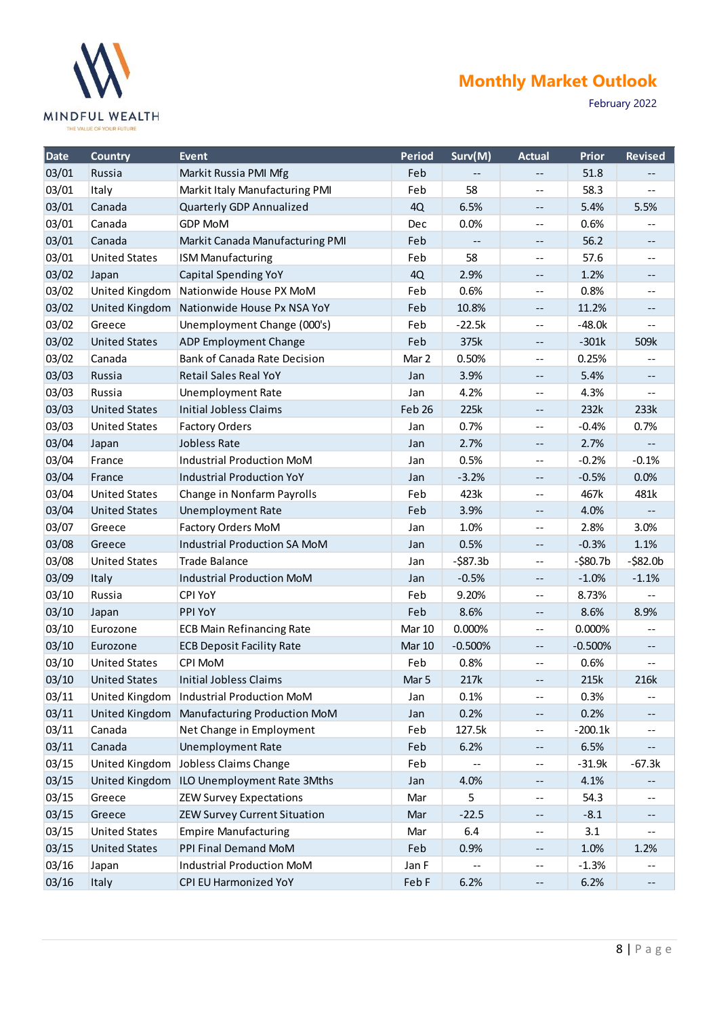

February 2022

| <b>Date</b> | <b>Country</b>        | <b>Event</b>                               | <b>Period</b> | Surv(M)     | <b>Actual</b>            | <b>Prior</b> | <b>Revised</b> |
|-------------|-----------------------|--------------------------------------------|---------------|-------------|--------------------------|--------------|----------------|
| 03/01       | Russia                | Markit Russia PMI Mfg                      | Feb           |             |                          | 51.8         |                |
| 03/01       | Italy                 | Markit Italy Manufacturing PMI             | Feb           | 58          | $\overline{\phantom{m}}$ | 58.3         | --             |
| 03/01       | Canada                | Quarterly GDP Annualized                   | 4Q            | 6.5%        | $\overline{\phantom{m}}$ | 5.4%         | 5.5%           |
| 03/01       | Canada                | <b>GDP MoM</b>                             | Dec           | 0.0%        | $\overline{\phantom{m}}$ | 0.6%         |                |
| 03/01       | Canada                | Markit Canada Manufacturing PMI            | Feb           |             | $\overline{\phantom{m}}$ | 56.2         | --             |
| 03/01       | <b>United States</b>  | <b>ISM Manufacturing</b>                   | Feb           | 58          | $-$                      | 57.6         | $- -$          |
| 03/02       | Japan                 | <b>Capital Spending YoY</b>                | 4Q            | 2.9%        | $\overline{\phantom{m}}$ | 1.2%         | --             |
| 03/02       | United Kingdom        | Nationwide House PX MoM                    | Feb           | 0.6%        | $\overline{\phantom{m}}$ | 0.8%         | $-$            |
| 03/02       | United Kingdom        | Nationwide House Px NSA YoY                | Feb           | 10.8%       | $\overline{\phantom{m}}$ | 11.2%        | $- -$          |
| 03/02       | Greece                | Unemployment Change (000's)                | Feb           | $-22.5k$    | $\overline{\phantom{m}}$ | $-48.0k$     | --             |
| 03/02       | <b>United States</b>  | ADP Employment Change                      | Feb           | 375k        | $\overline{\phantom{a}}$ | $-301k$      | 509k           |
| 03/02       | Canada                | Bank of Canada Rate Decision               | Mar 2         | 0.50%       | $-$                      | 0.25%        |                |
| 03/03       | Russia                | <b>Retail Sales Real YoY</b>               | Jan           | 3.9%        | $\overline{\phantom{m}}$ | 5.4%         | --             |
| 03/03       | Russia                | <b>Unemployment Rate</b>                   | Jan           | 4.2%        | $\overline{\phantom{m}}$ | 4.3%         |                |
| 03/03       | <b>United States</b>  | <b>Initial Jobless Claims</b>              | Feb 26        | 225k        | $\overline{\phantom{m}}$ | 232k         | 233k           |
| 03/03       | <b>United States</b>  | <b>Factory Orders</b>                      | Jan           | 0.7%        | $\overline{\phantom{m}}$ | $-0.4%$      | 0.7%           |
| 03/04       | Japan                 | Jobless Rate                               | Jan           | 2.7%        | $\overline{\phantom{a}}$ | 2.7%         |                |
| 03/04       | France                | <b>Industrial Production MoM</b>           | Jan           | 0.5%        | $\overline{\phantom{a}}$ | $-0.2%$      | $-0.1%$        |
| 03/04       | France                | <b>Industrial Production YoY</b>           | Jan           | $-3.2%$     | $\overline{\phantom{a}}$ | $-0.5%$      | 0.0%           |
| 03/04       | <b>United States</b>  | Change in Nonfarm Payrolls                 | Feb           | 423k        | $\overline{\phantom{m}}$ | 467k         | 481k           |
| 03/04       | <b>United States</b>  | <b>Unemployment Rate</b>                   | Feb           | 3.9%        | --                       | 4.0%         |                |
| 03/07       | Greece                | Factory Orders MoM                         | Jan           | 1.0%        | $\overline{\phantom{m}}$ | 2.8%         | 3.0%           |
| 03/08       | Greece                | Industrial Production SA MoM               | Jan           | 0.5%        | $\overline{\phantom{a}}$ | $-0.3%$      | 1.1%           |
| 03/08       | <b>United States</b>  | <b>Trade Balance</b>                       | Jan           | $-$ \$87.3b | $\overline{\phantom{a}}$ | $-580.7b$    | $-582.0b$      |
| 03/09       | Italy                 | <b>Industrial Production MoM</b>           | Jan           | $-0.5%$     | $\overline{\phantom{a}}$ | $-1.0%$      | $-1.1%$        |
| 03/10       | Russia                | <b>CPI YoY</b>                             | Feb           | 9.20%       | $\overline{\phantom{a}}$ | 8.73%        |                |
| 03/10       | Japan                 | PPI YoY                                    | Feb           | 8.6%        | --                       | 8.6%         | 8.9%           |
| 03/10       | Eurozone              | <b>ECB Main Refinancing Rate</b>           | <b>Mar 10</b> | 0.000%      | $\overline{\phantom{a}}$ | 0.000%       |                |
| 03/10       | Eurozone              | <b>ECB Deposit Facility Rate</b>           | <b>Mar 10</b> | $-0.500%$   | $\overline{\phantom{a}}$ | $-0.500%$    | --             |
| 03/10       | <b>United States</b>  | CPI MoM                                    | Feb           | 0.8%        | $\overline{\phantom{m}}$ | 0.6%         |                |
| 03/10       | <b>United States</b>  | <b>Initial Jobless Claims</b>              | Mar 5         | 217k        | $- -$                    | 215k         | 216k           |
| 03/11       | United Kingdom        | Industrial Production MoM                  | Jan           | 0.1%        | $\overline{\phantom{a}}$ | 0.3%         | --             |
| 03/11       | United Kingdom        | Manufacturing Production MoM               | Jan           | 0.2%        | $\overline{\phantom{m}}$ | 0.2%         |                |
| 03/11       | Canada                | Net Change in Employment                   | Feb           | 127.5k      | $\overline{\phantom{a}}$ | $-200.1k$    | --             |
| 03/11       | Canada                | <b>Unemployment Rate</b>                   | Feb           | 6.2%        | $\overline{\phantom{a}}$ | 6.5%         |                |
| 03/15       | <b>United Kingdom</b> | Jobless Claims Change                      | Feb           |             | $\overline{\phantom{a}}$ | $-31.9k$     | $-67.3k$       |
| 03/15       |                       | United Kingdom ILO Unemployment Rate 3Mths | Jan           | 4.0%        | --                       | 4.1%         |                |
| 03/15       | Greece                | <b>ZEW Survey Expectations</b>             | Mar           | 5           | $\overline{\phantom{m}}$ | 54.3         | --             |
| 03/15       | Greece                | <b>ZEW Survey Current Situation</b>        | Mar           | $-22.5$     | --                       | $-8.1$       |                |
| 03/15       | <b>United States</b>  | <b>Empire Manufacturing</b>                | Mar           | 6.4         | $\overline{\phantom{a}}$ | 3.1          | --             |
| 03/15       | <b>United States</b>  | PPI Final Demand MoM                       | Feb           | 0.9%        | $\overline{\phantom{a}}$ | 1.0%         | 1.2%           |
| 03/16       | Japan                 | Industrial Production MoM                  | Jan F         |             | $\overline{\phantom{a}}$ | $-1.3%$      |                |
| 03/16       | Italy                 | CPI EU Harmonized YoY                      | Feb F         | 6.2%        | $\overline{\phantom{m}}$ | 6.2%         | --             |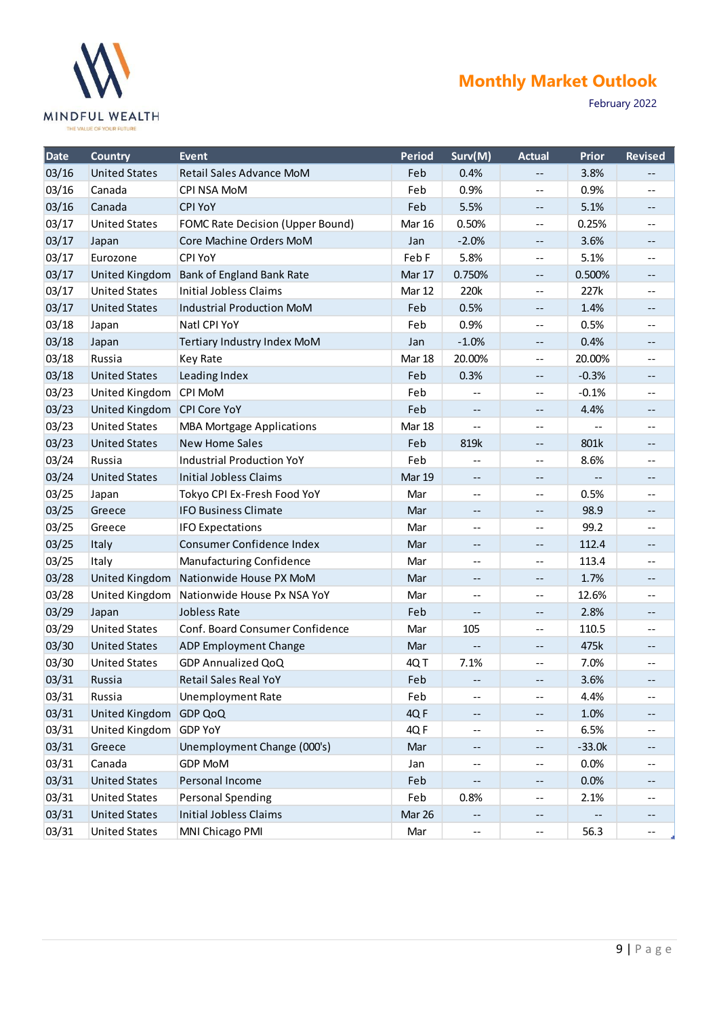

February 2022

| <b>Date</b> | <b>Country</b>              | <b>Event</b>                     | <b>Period</b> | Surv(M)                  | <b>Actual</b> | Prior    | <b>Revised</b>             |
|-------------|-----------------------------|----------------------------------|---------------|--------------------------|---------------|----------|----------------------------|
| 03/16       | <b>United States</b>        | Retail Sales Advance MoM         | Feb           | 0.4%                     | --            | 3.8%     | --                         |
| 03/16       | Canada                      | CPI NSA MoM                      | Feb           | 0.9%                     | --            | 0.9%     | --                         |
| 03/16       | Canada                      | <b>CPI YoY</b>                   | Feb           | 5.5%                     | --            | 5.1%     | --                         |
| 03/17       | <b>United States</b>        | FOMC Rate Decision (Upper Bound) | <b>Mar 16</b> | 0.50%                    | --            | 0.25%    | --                         |
| 03/17       | Japan                       | Core Machine Orders MoM          | Jan           | $-2.0%$                  | --            | 3.6%     | --                         |
| 03/17       | Eurozone                    | <b>CPI YoY</b>                   | Feb F         | 5.8%                     | --            | 5.1%     | $-$                        |
| 03/17       | United Kingdom              | <b>Bank of England Bank Rate</b> | Mar 17        | 0.750%                   | --            | 0.500%   | --                         |
| 03/17       | <b>United States</b>        | Initial Jobless Claims           | Mar 12        | 220k                     | $- -$         | 227k     | --                         |
| 03/17       | <b>United States</b>        | <b>Industrial Production MoM</b> | Feb           | 0.5%                     | --            | 1.4%     | --                         |
| 03/18       | Japan                       | Natl CPI YoY                     | Feb           | 0.9%                     | --            | 0.5%     | --                         |
| 03/18       | Japan                       | Tertiary Industry Index MoM      | Jan           | $-1.0%$                  | --            | 0.4%     | --                         |
| 03/18       | Russia                      | Key Rate                         | Mar 18        | 20.00%                   | --            | 20.00%   | --                         |
| 03/18       | <b>United States</b>        | Leading Index                    | Feb           | 0.3%                     | --            | $-0.3%$  | --                         |
| 03/23       | United Kingdom              | CPI MoM                          | Feb           | $-$                      | --            | $-0.1%$  | --                         |
| 03/23       | United Kingdom CPI Core YoY |                                  | Feb           | $\overline{\phantom{m}}$ | --            | 4.4%     | --                         |
| 03/23       | <b>United States</b>        | <b>MBA Mortgage Applications</b> | Mar 18        | $-$                      | $-$           |          | --                         |
| 03/23       | <b>United States</b>        | <b>New Home Sales</b>            | Feb           | 819k                     | --            | 801k     | --                         |
| 03/24       | Russia                      | <b>Industrial Production YoY</b> | Feb           | $\overline{\phantom{a}}$ | $-$           | 8.6%     | --                         |
| 03/24       | <b>United States</b>        | <b>Initial Jobless Claims</b>    | <b>Mar 19</b> | --                       |               |          | --                         |
| 03/25       | Japan                       | Tokyo CPI Ex-Fresh Food YoY      | Mar           | $-$                      | $-$           | 0.5%     | --                         |
| 03/25       | Greece                      | <b>IFO Business Climate</b>      | Mar           | $\overline{\phantom{m}}$ | --            | 98.9     | --                         |
| 03/25       | Greece                      | <b>IFO Expectations</b>          | Mar           | --                       | $-$           | 99.2     | --                         |
| 03/25       | Italy                       | Consumer Confidence Index        | Mar           | --                       | --            | 112.4    | --                         |
| 03/25       | Italy                       | Manufacturing Confidence         | Mar           | $-$                      | --            | 113.4    | --                         |
| 03/28       | United Kingdom              | Nationwide House PX MoM          | Mar           | --                       | --            | 1.7%     | --                         |
| 03/28       | United Kingdom              | Nationwide House Px NSA YoY      | Mar           | $\overline{\phantom{m}}$ | --            | 12.6%    | --                         |
| 03/29       | Japan                       | Jobless Rate                     | Feb           | $\overline{\phantom{a}}$ | --            | 2.8%     | --                         |
| 03/29       | <b>United States</b>        | Conf. Board Consumer Confidence  | Mar           | 105                      | $-$           | 110.5    | --                         |
| 03/30       | <b>United States</b>        | <b>ADP Employment Change</b>     | Mar           | --                       | --            | 475k     | --                         |
| 03/30       | <b>United States</b>        | <b>GDP Annualized QoQ</b>        | 4QT           | 7.1%                     | $-$           | 7.0%     | $\overline{\phantom{a}}$ . |
| 03/31       | Russia                      | <b>Retail Sales Real YoY</b>     | Feb           |                          | --            | 3.6%     | --                         |
| 03/31       | Russia                      | <b>Unemployment Rate</b>         | Feb           | --                       | --            | 4.4%     | $\qquad \qquad -$          |
| 03/31       | United Kingdom GDP QoQ      |                                  | 4QF           | --                       |               | 1.0%     | --                         |
| 03/31       | United Kingdom              | <b>GDP YoY</b>                   | 4QF           | --                       | --            | 6.5%     | --                         |
| 03/31       | Greece                      | Unemployment Change (000's)      | Mar           | $\overline{\phantom{a}}$ | --            | $-33.0k$ | --                         |
| 03/31       | Canada                      | <b>GDP MoM</b>                   | Jan           | --                       | --            | 0.0%     | --                         |
| 03/31       | <b>United States</b>        | Personal Income                  | Feb           | --                       | --            | 0.0%     |                            |
| 03/31       | <b>United States</b>        | <b>Personal Spending</b>         | Feb           | 0.8%                     | --            | 2.1%     | $\overline{\phantom{m}}$   |
| 03/31       | <b>United States</b>        | <b>Initial Jobless Claims</b>    | Mar 26        | --                       | --            |          | --                         |
| 03/31       | <b>United States</b>        | MNI Chicago PMI                  | Mar           | --                       | --            | 56.3     | --                         |